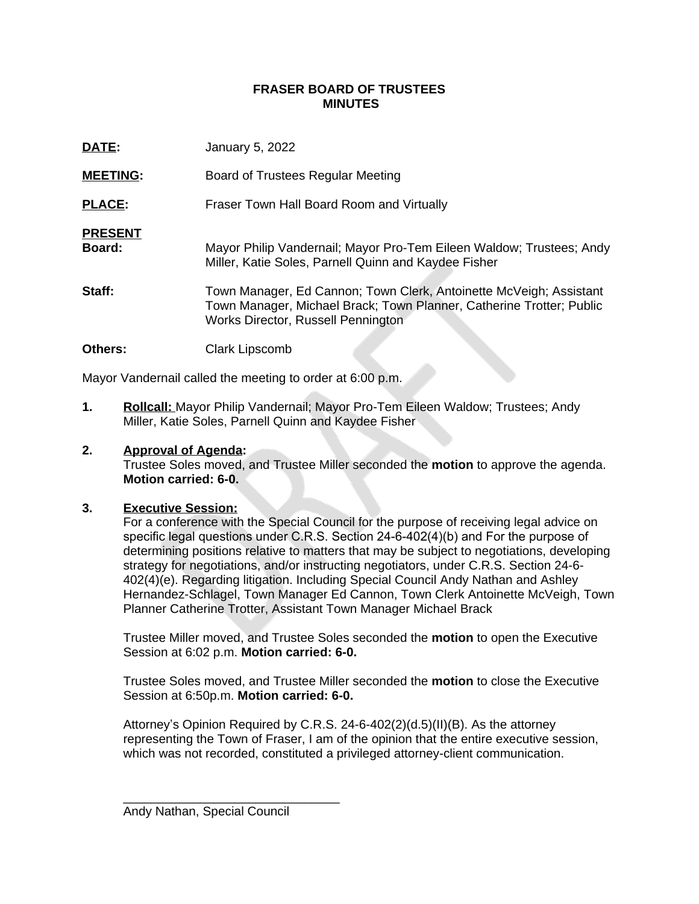## **FRASER BOARD OF TRUSTEES MINUTES**

| DATE:                    | January 5, 2022                                                                                                                                                                  |
|--------------------------|----------------------------------------------------------------------------------------------------------------------------------------------------------------------------------|
| <b>MEETING:</b>          | Board of Trustees Regular Meeting                                                                                                                                                |
| <b>PLACE:</b>            | Fraser Town Hall Board Room and Virtually                                                                                                                                        |
| <b>PRESENT</b><br>Board: | Mayor Philip Vandernail; Mayor Pro-Tem Eileen Waldow; Trustees; Andy<br>Miller, Katie Soles, Parnell Quinn and Kaydee Fisher                                                     |
| Staff:                   | Town Manager, Ed Cannon; Town Clerk, Antoinette McVeigh; Assistant<br>Town Manager, Michael Brack; Town Planner, Catherine Trotter; Public<br>Works Director, Russell Pennington |
| Others:                  | Clark Lipscomb                                                                                                                                                                   |

Mayor Vandernail called the meeting to order at 6:00 p.m.

**1. Rollcall:** Mayor Philip Vandernail; Mayor Pro-Tem Eileen Waldow; Trustees; Andy Miller, Katie Soles, Parnell Quinn and Kaydee Fisher

# **2. Approval of Agenda:**

Trustee Soles moved, and Trustee Miller seconded the **motion** to approve the agenda. **Motion carried: 6-0.**

## **3. Executive Session:**

For a conference with the Special Council for the purpose of receiving legal advice on specific legal questions under C.R.S. Section 24-6-402(4)(b) and For the purpose of determining positions relative to matters that may be subject to negotiations, developing strategy for negotiations, and/or instructing negotiators, under C.R.S. Section 24-6- 402(4)(e). Regarding litigation. Including Special Council Andy Nathan and Ashley Hernandez-Schlagel, Town Manager Ed Cannon, Town Clerk Antoinette McVeigh, Town Planner Catherine Trotter, Assistant Town Manager Michael Brack

Trustee Miller moved, and Trustee Soles seconded the **motion** to open the Executive Session at 6:02 p.m. **Motion carried: 6-0.**

Trustee Soles moved, and Trustee Miller seconded the **motion** to close the Executive Session at 6:50p.m. **Motion carried: 6-0.**

Attorney's Opinion Required by C.R.S. 24-6-402(2)(d.5)(II)(B). As the attorney representing the Town of Fraser, I am of the opinion that the entire executive session, which was not recorded, constituted a privileged attorney-client communication.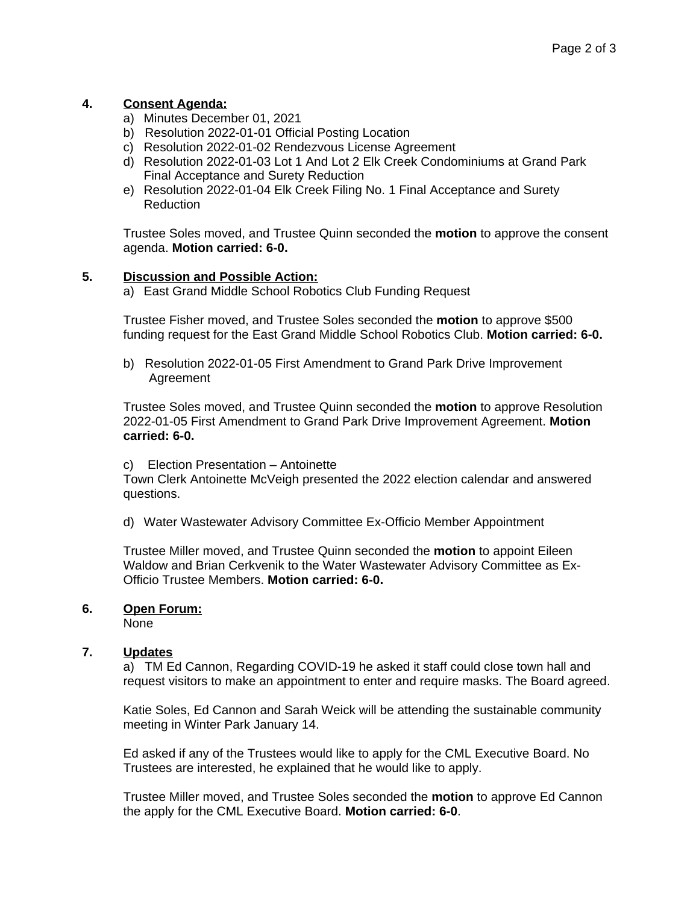# **4. Consent Agenda:**

- a) Minutes December 01, 2021
- b) Resolution 2022-01-01 Official Posting Location
- c) Resolution 2022-01-02 Rendezvous License Agreement
- d) Resolution 2022-01-03 Lot 1 And Lot 2 Elk Creek Condominiums at Grand Park Final Acceptance and Surety Reduction
- e) Resolution 2022-01-04 Elk Creek Filing No. 1 Final Acceptance and Surety Reduction

Trustee Soles moved, and Trustee Quinn seconded the **motion** to approve the consent agenda. **Motion carried: 6-0.**

## **5. Discussion and Possible Action:**

a) East Grand Middle School Robotics Club Funding Request

Trustee Fisher moved, and Trustee Soles seconded the **motion** to approve \$500 funding request for the East Grand Middle School Robotics Club. **Motion carried: 6-0.**

b)Resolution 2022-01-05 First Amendment to Grand Park Drive Improvement Agreement

Trustee Soles moved, and Trustee Quinn seconded the **motion** to approve Resolution 2022-01-05 First Amendment to Grand Park Drive Improvement Agreement. **Motion carried: 6-0.**

c)Election Presentation – Antoinette

Town Clerk Antoinette McVeigh presented the 2022 election calendar and answered questions.

d) Water Wastewater Advisory Committee Ex-Officio Member Appointment

Trustee Miller moved, and Trustee Quinn seconded the **motion** to appoint Eileen Waldow and Brian Cerkvenik to the Water Wastewater Advisory Committee as Ex-Officio Trustee Members. **Motion carried: 6-0.**

## **6. Open Forum:**

None

## **7. Updates**

a) TM Ed Cannon, Regarding COVID-19 he asked it staff could close town hall and request visitors to make an appointment to enter and require masks. The Board agreed.

Katie Soles, Ed Cannon and Sarah Weick will be attending the sustainable community meeting in Winter Park January 14.

Ed asked if any of the Trustees would like to apply for the CML Executive Board. No Trustees are interested, he explained that he would like to apply.

Trustee Miller moved, and Trustee Soles seconded the **motion** to approve Ed Cannon the apply for the CML Executive Board. **Motion carried: 6-0**.